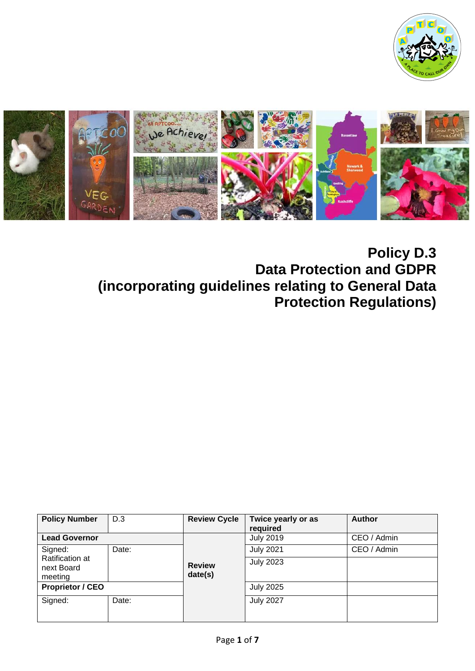



# **Policy D.3 Data Protection and GDPR (incorporating guidelines relating to General Data Protection Regulations)**

| <b>Policy Number</b>                            | D.3   | <b>Review Cycle</b>      | Twice yearly or as<br>required | <b>Author</b> |
|-------------------------------------------------|-------|--------------------------|--------------------------------|---------------|
| <b>Lead Governor</b>                            |       |                          | <b>July 2019</b>               | CEO / Admin   |
| Signed:                                         | Date: |                          | <b>July 2021</b>               | CEO / Admin   |
| <b>Ratification at</b><br>next Board<br>meeting |       | <b>Review</b><br>date(s) | <b>July 2023</b>               |               |
| <b>Proprietor / CEO</b>                         |       |                          | <b>July 2025</b>               |               |
| Signed:                                         | Date: |                          | <b>July 2027</b>               |               |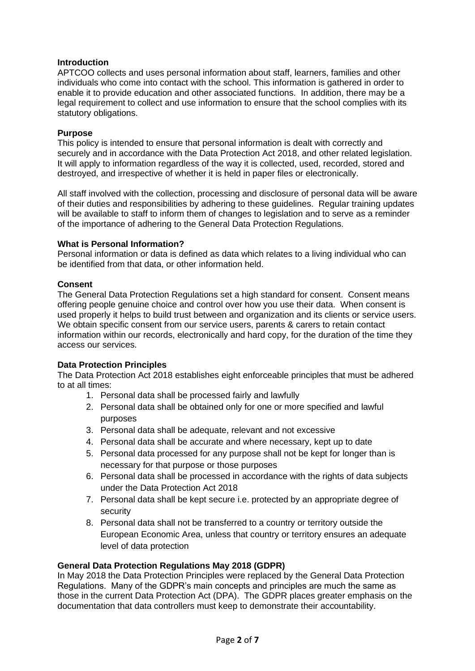# **Introduction**

APTCOO collects and uses personal information about staff, learners, families and other individuals who come into contact with the school. This information is gathered in order to enable it to provide education and other associated functions. In addition, there may be a legal requirement to collect and use information to ensure that the school complies with its statutory obligations.

#### **Purpose**

This policy is intended to ensure that personal information is dealt with correctly and securely and in accordance with the Data Protection Act 2018, and other related legislation. It will apply to information regardless of the way it is collected, used, recorded, stored and destroyed, and irrespective of whether it is held in paper files or electronically.

All staff involved with the collection, processing and disclosure of personal data will be aware of their duties and responsibilities by adhering to these guidelines. Regular training updates will be available to staff to inform them of changes to legislation and to serve as a reminder of the importance of adhering to the General Data Protection Regulations.

## **What is Personal Information?**

Personal information or data is defined as data which relates to a living individual who can be identified from that data, or other information held.

## **Consent**

The General Data Protection Regulations set a high standard for consent. Consent means offering people genuine choice and control over how you use their data. When consent is used properly it helps to build trust between and organization and its clients or service users. We obtain specific consent from our service users, parents & carers to retain contact information within our records, electronically and hard copy, for the duration of the time they access our services.

# **Data Protection Principles**

The Data Protection Act 2018 establishes eight enforceable principles that must be adhered to at all times:

- 1. Personal data shall be processed fairly and lawfully
- 2. Personal data shall be obtained only for one or more specified and lawful purposes
- 3. Personal data shall be adequate, relevant and not excessive
- 4. Personal data shall be accurate and where necessary, kept up to date
- 5. Personal data processed for any purpose shall not be kept for longer than is necessary for that purpose or those purposes
- 6. Personal data shall be processed in accordance with the rights of data subjects under the Data Protection Act 2018
- 7. Personal data shall be kept secure i.e. protected by an appropriate degree of security
- 8. Personal data shall not be transferred to a country or territory outside the European Economic Area, unless that country or territory ensures an adequate level of data protection

# **General Data Protection Regulations May 2018 (GDPR)**

In May 2018 the Data Protection Principles were replaced by the General Data Protection Regulations. Many of the GDPR's main concepts and principles are much the same as those in the current Data Protection Act (DPA). The GDPR places greater emphasis on the documentation that data controllers must keep to demonstrate their accountability.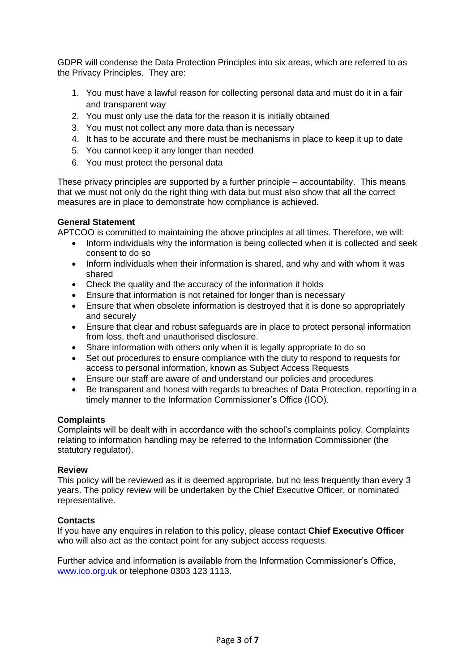GDPR will condense the Data Protection Principles into six areas, which are referred to as the Privacy Principles. They are:

- 1. You must have a lawful reason for collecting personal data and must do it in a fair and transparent way
- 2. You must only use the data for the reason it is initially obtained
- 3. You must not collect any more data than is necessary
- 4. It has to be accurate and there must be mechanisms in place to keep it up to date
- 5. You cannot keep it any longer than needed
- 6. You must protect the personal data

These privacy principles are supported by a further principle – accountability. This means that we must not only do the right thing with data but must also show that all the correct measures are in place to demonstrate how compliance is achieved.

# **General Statement**

APTCOO is committed to maintaining the above principles at all times. Therefore, we will:

- Inform individuals why the information is being collected when it is collected and seek consent to do so
- Inform individuals when their information is shared, and why and with whom it was shared
- Check the quality and the accuracy of the information it holds
- Ensure that information is not retained for longer than is necessary
- Ensure that when obsolete information is destroyed that it is done so appropriately and securely
- Ensure that clear and robust safeguards are in place to protect personal information from loss, theft and unauthorised disclosure.
- Share information with others only when it is legally appropriate to do so
- Set out procedures to ensure compliance with the duty to respond to requests for access to personal information, known as Subject Access Requests
- Ensure our staff are aware of and understand our policies and procedures
- Be transparent and honest with regards to breaches of Data Protection, reporting in a timely manner to the Information Commissioner's Office (ICO).

#### **Complaints**

Complaints will be dealt with in accordance with the school's complaints policy. Complaints relating to information handling may be referred to the Information Commissioner (the statutory regulator).

#### **Review**

This policy will be reviewed as it is deemed appropriate, but no less frequently than every 3 years. The policy review will be undertaken by the Chief Executive Officer, or nominated representative.

# **Contacts**

If you have any enquires in relation to this policy, please contact **Chief Executive Officer** who will also act as the contact point for any subject access requests.

Further advice and information is available from the Information Commissioner's Office, www.ico.org.uk or telephone 0303 123 1113.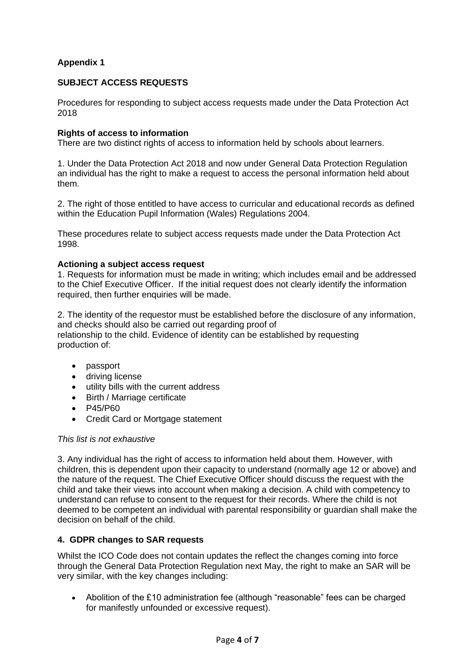# **Appendix 1**

# **SUBJECT ACCESS REQUESTS**

Procedures for responding to subject access requests made under the Data Protection Act 2018

# **Rights of access to information**

There are two distinct rights of access to information held by schools about learners.

1. Under the Data Protection Act 2018 and now under General Data Protection Regulation an individual has the right to make a request to access the personal information held about them.

2. The right of those entitled to have access to curricular and educational records as defined within the Education Pupil Information (Wales) Regulations 2004.

These procedures relate to subject access requests made under the Data Protection Act 1998.

## **Actioning a subject access request**

1. Requests for information must be made in writing; which includes email and be addressed to the Chief Executive Officer. If the initial request does not clearly identify the information required, then further enquiries will be made.

2. The identity of the requestor must be established before the disclosure of any information, and checks should also be carried out regarding proof of relationship to the child. Evidence of identity can be established by requesting production of:

- passport
- driving license
- utility bills with the current address
- Birth / Marriage certificate
- P45/P60
- Credit Card or Mortgage statement

#### *This list is not exhaustive*

3. Any individual has the right of access to information held about them. However, with children, this is dependent upon their capacity to understand (normally age 12 or above) and the nature of the request. The Chief Executive Officer should discuss the request with the child and take their views into account when making a decision. A child with competency to understand can refuse to consent to the request for their records. Where the child is not deemed to be competent an individual with parental responsibility or guardian shall make the decision on behalf of the child.

# **4. GDPR changes to SAR requests**

Whilst the ICO Code does not contain updates the reflect the changes coming into force through the General Data Protection Regulation next May, the right to make an SAR will be very similar, with the key changes including:

• Abolition of the £10 administration fee (although "reasonable" fees can be charged for manifestly unfounded or excessive request).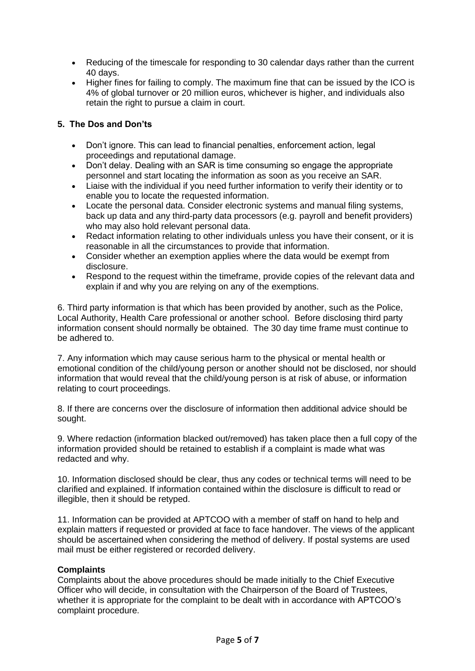- Reducing of the timescale for responding to 30 calendar days rather than the current 40 days.
- Higher fines for failing to comply. The maximum fine that can be issued by the ICO is 4% of global turnover or 20 million euros, whichever is higher, and individuals also retain the right to pursue a claim in court.

# **5. The Dos and Don'ts**

- Don't ignore. This can lead to financial penalties, enforcement action, legal proceedings and reputational damage.
- Don't delay. Dealing with an SAR is time consuming so engage the appropriate personnel and start locating the information as soon as you receive an SAR.
- Liaise with the individual if you need further information to verify their identity or to enable you to locate the requested information.
- Locate the personal data. Consider electronic systems and manual filing systems, back up data and any third-party data processors (e.g. payroll and benefit providers) who may also hold relevant personal data.
- Redact information relating to other individuals unless you have their consent, or it is reasonable in all the circumstances to provide that information.
- Consider whether an exemption applies where the data would be exempt from disclosure.
- Respond to the request within the timeframe, provide copies of the relevant data and explain if and why you are relying on any of the exemptions.

6. Third party information is that which has been provided by another, such as the Police, Local Authority, Health Care professional or another school. Before disclosing third party information consent should normally be obtained. The 30 day time frame must continue to be adhered to.

7. Any information which may cause serious harm to the physical or mental health or emotional condition of the child/young person or another should not be disclosed, nor should information that would reveal that the child/young person is at risk of abuse, or information relating to court proceedings.

8. If there are concerns over the disclosure of information then additional advice should be sought.

9. Where redaction (information blacked out/removed) has taken place then a full copy of the information provided should be retained to establish if a complaint is made what was redacted and why.

10. Information disclosed should be clear, thus any codes or technical terms will need to be clarified and explained. If information contained within the disclosure is difficult to read or illegible, then it should be retyped.

11. Information can be provided at APTCOO with a member of staff on hand to help and explain matters if requested or provided at face to face handover. The views of the applicant should be ascertained when considering the method of delivery. If postal systems are used mail must be either registered or recorded delivery.

# **Complaints**

Complaints about the above procedures should be made initially to the Chief Executive Officer who will decide, in consultation with the Chairperson of the Board of Trustees, whether it is appropriate for the complaint to be dealt with in accordance with APTCOO's complaint procedure.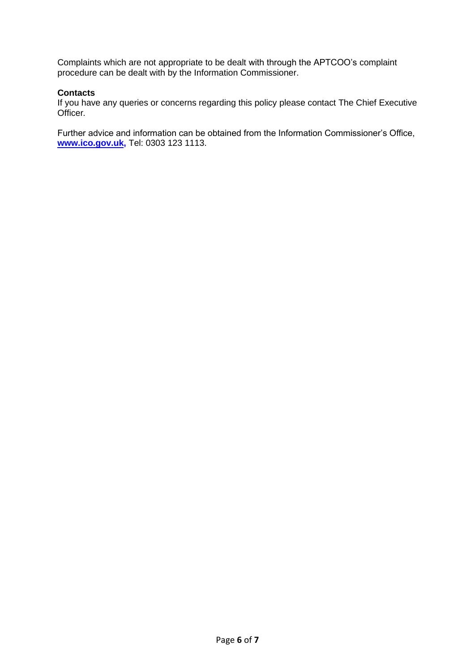Complaints which are not appropriate to be dealt with through the APTCOO's complaint procedure can be dealt with by the Information Commissioner.

## **Contacts**

If you have any queries or concerns regarding this policy please contact The Chief Executive Officer*.*

Further advice and information can be obtained from the Information Commissioner's Office, **[www.ico.gov.uk,](http://www.ico.gov.uk/)** Tel: 0303 123 1113.